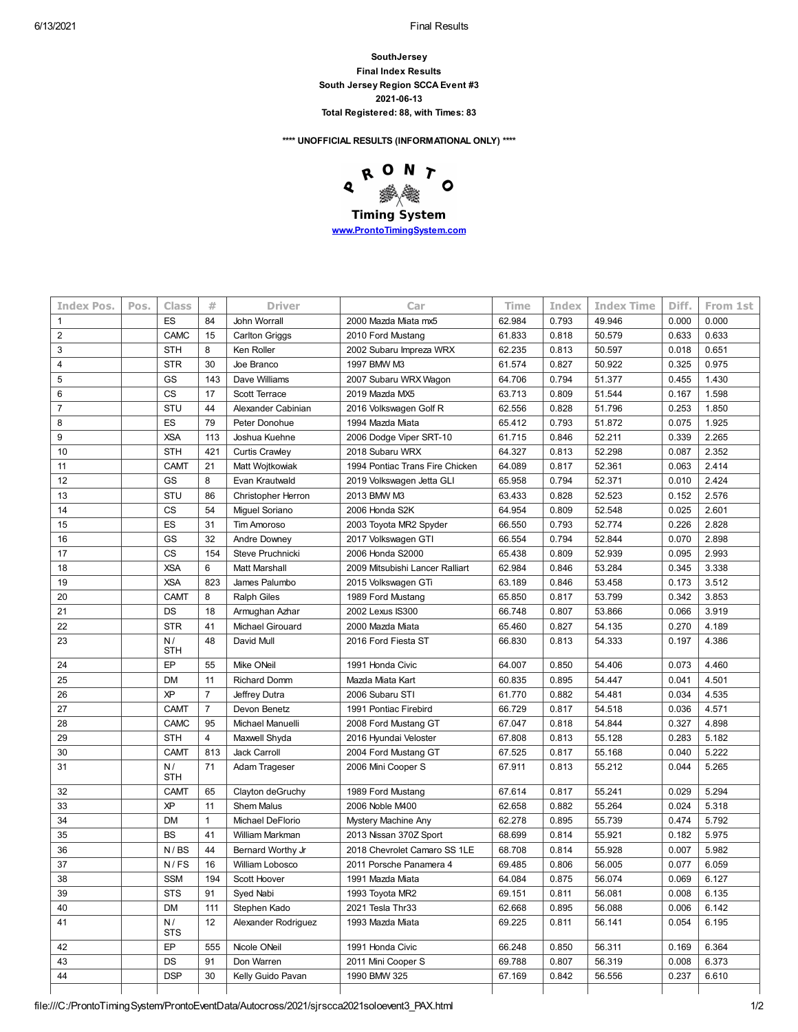6/13/2021 **Final Results** 

**SouthJersey Final Index Results South Jersey Region SCCA Event #3 2021-06-13 Total Registered: 88, with Times: 83**

**\*\*\*\* UNOFFICIAL RESULTS (INFORMATIONAL ONLY) \*\*\*\***

RONT  $\mathbf{o}$  $\mathbf{Q}$ **Timing System [www.ProntoTimingSystem.com](http://www.prontotimingsystem.com/)**

| <b>Index Pos.</b> | Pos. | <b>Class</b>     | #              | <b>Driver</b>         | Car                             | Time   | Index | <b>Index Time</b> | Diff. | From 1st |
|-------------------|------|------------------|----------------|-----------------------|---------------------------------|--------|-------|-------------------|-------|----------|
| $\mathbf{1}$      |      | ES               | 84             | John Worrall          | 2000 Mazda Miata mx5            | 62.984 | 0.793 | 49.946            | 0.000 | 0.000    |
| $\overline{2}$    |      | CAMC             | 15             | <b>Carlton Griggs</b> | 2010 Ford Mustang               | 61.833 | 0.818 | 50.579            | 0.633 | 0.633    |
| 3                 |      | <b>STH</b>       | 8              | Ken Roller            | 2002 Subaru Impreza WRX         | 62.235 | 0.813 | 50.597            | 0.018 | 0.651    |
| $\overline{4}$    |      | <b>STR</b>       | 30             | Joe Branco            | 1997 BMW M3                     | 61.574 | 0.827 | 50.922            | 0.325 | 0.975    |
| 5                 |      | GS               | 143            | Dave Williams         | 2007 Subaru WRX Wagon           | 64.706 | 0.794 | 51.377            | 0.455 | 1.430    |
| 6                 |      | <b>CS</b>        | 17             | Scott Terrace         | 2019 Mazda MX5                  | 63.713 | 0.809 | 51.544            | 0.167 | 1.598    |
| $\overline{7}$    |      | <b>STU</b>       | 44             | Alexander Cabinian    | 2016 Volkswagen Golf R          | 62.556 | 0.828 | 51.796            | 0.253 | 1.850    |
| 8                 |      | ES               | 79             | Peter Donohue         | 1994 Mazda Miata                | 65.412 | 0.793 | 51.872            | 0.075 | 1.925    |
| 9                 |      | <b>XSA</b>       | 113            | Joshua Kuehne         | 2006 Dodge Viper SRT-10         | 61.715 | 0.846 | 52.211            | 0.339 | 2.265    |
| 10                |      | <b>STH</b>       | 421            | <b>Curtis Crawley</b> | 2018 Subaru WRX                 | 64.327 | 0.813 | 52.298            | 0.087 | 2.352    |
| 11                |      | <b>CAMT</b>      | 21             | Matt Wojtkowiak       | 1994 Pontiac Trans Fire Chicken | 64.089 | 0.817 | 52.361            | 0.063 | 2.414    |
| 12                |      | GS               | 8              | Evan Krautwald        | 2019 Volkswagen Jetta GLI       | 65.958 | 0.794 | 52.371            | 0.010 | 2.424    |
| 13                |      | STU              | 86             | Christopher Herron    | 2013 BMW M3                     | 63.433 | 0.828 | 52.523            | 0.152 | 2.576    |
| 14                |      | <b>CS</b>        | 54             | Miguel Soriano        | 2006 Honda S2K                  | 64.954 | 0.809 | 52.548            | 0.025 | 2.601    |
| 15                |      | ES               | 31             | <b>Tim Amoroso</b>    | 2003 Toyota MR2 Spyder          | 66.550 | 0.793 | 52.774            | 0.226 | 2.828    |
| 16                |      | GS               | 32             | Andre Downey          | 2017 Volkswagen GTI             | 66.554 | 0.794 | 52.844            | 0.070 | 2.898    |
| 17                |      | <b>CS</b>        | 154            | Steve Pruchnicki      | 2006 Honda S2000                | 65.438 | 0.809 | 52.939            | 0.095 | 2.993    |
| 18                |      | <b>XSA</b>       | 6              | <b>Matt Marshall</b>  | 2009 Mitsubishi Lancer Ralliart | 62.984 | 0.846 | 53.284            | 0.345 | 3.338    |
| 19                |      | <b>XSA</b>       | 823            | James Palumbo         | 2015 Volkswagen GTi             | 63.189 | 0.846 | 53.458            | 0.173 | 3.512    |
| 20                |      | <b>CAMT</b>      | 8              | <b>Ralph Giles</b>    | 1989 Ford Mustang               | 65.850 | 0.817 | 53.799            | 0.342 | 3.853    |
| 21                |      | DS               | 18             | Armughan Azhar        | 2002 Lexus IS300                | 66.748 | 0.807 | 53.866            | 0.066 | 3.919    |
| 22                |      | <b>STR</b>       | 41             | Michael Girouard      | 2000 Mazda Miata                | 65.460 | 0.827 | 54.135            | 0.270 | 4.189    |
| 23                |      | N/               | 48             | David Mull            | 2016 Ford Fiesta ST             | 66.830 | 0.813 | 54.333            | 0.197 | 4.386    |
|                   |      | <b>STH</b>       |                |                       |                                 |        |       |                   |       |          |
| 24                |      | EP               | 55             | Mike ONeil            | 1991 Honda Civic                | 64.007 | 0.850 | 54.406            | 0.073 | 4.460    |
| 25                |      | <b>DM</b>        | 11             | <b>Richard Domm</b>   | Mazda Miata Kart                | 60.835 | 0.895 | 54.447            | 0.041 | 4.501    |
| 26                |      | ΧP               | $\overline{7}$ | Jeffrey Dutra         | 2006 Subaru STI                 | 61.770 | 0.882 | 54.481            | 0.034 | 4.535    |
| 27                |      | <b>CAMT</b>      | $\overline{7}$ | Devon Benetz          | 1991 Pontiac Firebird           | 66.729 | 0.817 | 54.518            | 0.036 | 4.571    |
| 28                |      | <b>CAMC</b>      | 95             | Michael Manuelli      | 2008 Ford Mustang GT            | 67.047 | 0.818 | 54.844            | 0.327 | 4.898    |
| 29                |      | <b>STH</b>       | 4              | Maxwell Shyda         | 2016 Hyundai Veloster           | 67.808 | 0.813 | 55.128            | 0.283 | 5.182    |
| 30                |      | <b>CAMT</b>      | 813            | Jack Carroll          | 2004 Ford Mustang GT            | 67.525 | 0.817 | 55.168            | 0.040 | 5.222    |
| 31                |      | N/<br><b>STH</b> | 71             | Adam Trageser         | 2006 Mini Cooper S              | 67.911 | 0.813 | 55.212            | 0.044 | 5.265    |
| 32                |      | <b>CAMT</b>      | 65             | Clayton deGruchy      | 1989 Ford Mustang               | 67.614 | 0.817 | 55.241            | 0.029 | 5.294    |
| 33                |      | ΧP               | 11             | <b>Shem Malus</b>     | 2006 Noble M400                 | 62.658 | 0.882 | 55.264            | 0.024 | 5.318    |
| 34                |      | <b>DM</b>        | $\mathbf{1}$   | Michael DeFlorio      | Mystery Machine Any             | 62.278 | 0.895 | 55.739            | 0.474 | 5.792    |
| 35                |      | <b>BS</b>        | 41             | William Markman       | 2013 Nissan 370Z Sport          | 68.699 | 0.814 | 55.921            | 0.182 | 5.975    |
| 36                |      | N / BS           | 44             | Bernard Worthy Jr     | 2018 Chevrolet Camaro SS 1LE    | 68.708 | 0.814 | 55.928            | 0.007 | 5.982    |
| 37                |      | N/FS             | 16             | William Lobosco       | 2011 Porsche Panamera 4         | 69.485 | 0.806 | 56.005            | 0.077 | 6.059    |
| 38                |      | SSM              | 194            | Scott Hoover          | 1991 Mazda Miata                | 64.084 | 0.875 | 56.074            | 0.069 | 6.127    |
| 39                |      | <b>STS</b>       | 91             | Syed Nabi             | 1993 Toyota MR2                 | 69.151 | 0.811 | 56.081            | 0.008 | 6.135    |
| 40                |      | <b>DM</b>        | 111            | Stephen Kado          | 2021 Tesla Thr33                | 62.668 | 0.895 | 56.088            | 0.006 | 6.142    |
| 41                |      | N/<br><b>STS</b> | 12             | Alexander Rodriguez   | 1993 Mazda Miata                | 69.225 | 0.811 | 56.141            | 0.054 | 6.195    |
| 42                |      | EP               | 555            | Nicole ONeil          | 1991 Honda Civic                | 66.248 | 0.850 | 56.311            | 0.169 | 6.364    |
| 43                |      | DS               | 91             | Don Warren            | 2011 Mini Cooper S              | 69.788 | 0.807 | 56.319            | 0.008 | 6.373    |
| 44                |      | <b>DSP</b>       | 30             | Kelly Guido Pavan     | 1990 BMW 325                    | 67.169 | 0.842 | 56.556            | 0.237 | 6.610    |
|                   |      |                  |                |                       |                                 |        |       |                   |       |          |